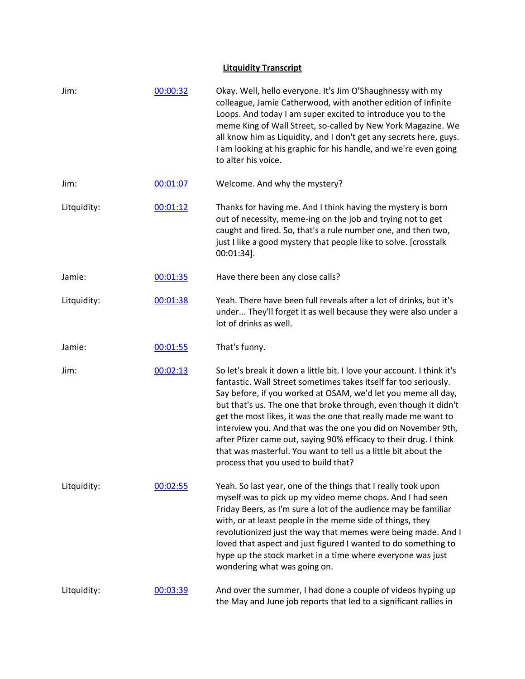## **Litquidity Transcript**

| Jim:        | 00:00:32 | Okay. Well, hello everyone. It's Jim O'Shaughnessy with my<br>colleague, Jamie Catherwood, with another edition of Infinite<br>Loops. And today I am super excited to introduce you to the<br>meme King of Wall Street, so-called by New York Magazine. We<br>all know him as Liquidity, and I don't get any secrets here, guys.<br>I am looking at his graphic for his handle, and we're even going<br>to alter his voice.                                                                                                                                                                      |
|-------------|----------|--------------------------------------------------------------------------------------------------------------------------------------------------------------------------------------------------------------------------------------------------------------------------------------------------------------------------------------------------------------------------------------------------------------------------------------------------------------------------------------------------------------------------------------------------------------------------------------------------|
| Jim:        | 00:01:07 | Welcome. And why the mystery?                                                                                                                                                                                                                                                                                                                                                                                                                                                                                                                                                                    |
| Litquidity: | 00:01:12 | Thanks for having me. And I think having the mystery is born<br>out of necessity, meme-ing on the job and trying not to get<br>caught and fired. So, that's a rule number one, and then two,<br>just I like a good mystery that people like to solve. [crosstalk<br>00:01:34].                                                                                                                                                                                                                                                                                                                   |
| Jamie:      | 00:01:35 | Have there been any close calls?                                                                                                                                                                                                                                                                                                                                                                                                                                                                                                                                                                 |
| Litquidity: | 00:01:38 | Yeah. There have been full reveals after a lot of drinks, but it's<br>under They'll forget it as well because they were also under a<br>lot of drinks as well.                                                                                                                                                                                                                                                                                                                                                                                                                                   |
| Jamie:      | 00:01:55 | That's funny.                                                                                                                                                                                                                                                                                                                                                                                                                                                                                                                                                                                    |
| Jim:        | 00:02:13 | So let's break it down a little bit. I love your account. I think it's<br>fantastic. Wall Street sometimes takes itself far too seriously.<br>Say before, if you worked at OSAM, we'd let you meme all day,<br>but that's us. The one that broke through, even though it didn't<br>get the most likes, it was the one that really made me want to<br>interview you. And that was the one you did on November 9th,<br>after Pfizer came out, saying 90% efficacy to their drug. I think<br>that was masterful. You want to tell us a little bit about the<br>process that you used to build that? |
| Litquidity: | 00:02:55 | Yeah. So last year, one of the things that I really took upon<br>myself was to pick up my video meme chops. And I had seen<br>Friday Beers, as I'm sure a lot of the audience may be familiar<br>with, or at least people in the meme side of things, they<br>revolutionized just the way that memes were being made. And I<br>loved that aspect and just figured I wanted to do something to<br>hype up the stock market in a time where everyone was just<br>wondering what was going on.                                                                                                      |
| Litquidity: | 00:03:39 | And over the summer, I had done a couple of videos hyping up<br>the May and June job reports that led to a significant rallies in                                                                                                                                                                                                                                                                                                                                                                                                                                                                |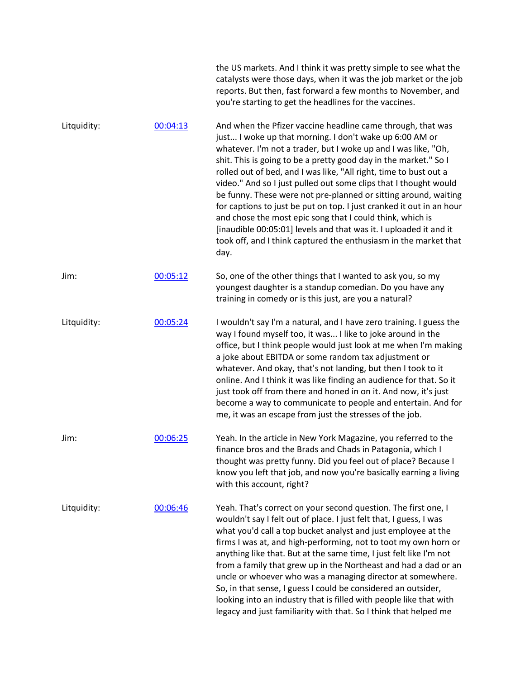|             |          | the US markets. And I think it was pretty simple to see what the<br>catalysts were those days, when it was the job market or the job<br>reports. But then, fast forward a few months to November, and<br>you're starting to get the headlines for the vaccines.                                                                                                                                                                                                                                                                                                                                                                                                                                                                                                |
|-------------|----------|----------------------------------------------------------------------------------------------------------------------------------------------------------------------------------------------------------------------------------------------------------------------------------------------------------------------------------------------------------------------------------------------------------------------------------------------------------------------------------------------------------------------------------------------------------------------------------------------------------------------------------------------------------------------------------------------------------------------------------------------------------------|
| Litquidity: | 00:04:13 | And when the Pfizer vaccine headline came through, that was<br>just I woke up that morning. I don't wake up 6:00 AM or<br>whatever. I'm not a trader, but I woke up and I was like, "Oh,<br>shit. This is going to be a pretty good day in the market." So I<br>rolled out of bed, and I was like, "All right, time to bust out a<br>video." And so I just pulled out some clips that I thought would<br>be funny. These were not pre-planned or sitting around, waiting<br>for captions to just be put on top. I just cranked it out in an hour<br>and chose the most epic song that I could think, which is<br>[inaudible 00:05:01] levels and that was it. I uploaded it and it<br>took off, and I think captured the enthusiasm in the market that<br>day. |
| Jim:        | 00:05:12 | So, one of the other things that I wanted to ask you, so my<br>youngest daughter is a standup comedian. Do you have any<br>training in comedy or is this just, are you a natural?                                                                                                                                                                                                                                                                                                                                                                                                                                                                                                                                                                              |
| Litquidity: | 00:05:24 | I wouldn't say I'm a natural, and I have zero training. I guess the<br>way I found myself too, it was I like to joke around in the<br>office, but I think people would just look at me when I'm making<br>a joke about EBITDA or some random tax adjustment or<br>whatever. And okay, that's not landing, but then I took to it<br>online. And I think it was like finding an audience for that. So it<br>just took off from there and honed in on it. And now, it's just<br>become a way to communicate to people and entertain. And for<br>me, it was an escape from just the stresses of the job.                                                                                                                                                           |
| Jim:        | 00:06:25 | Yeah. In the article in New York Magazine, you referred to the<br>finance bros and the Brads and Chads in Patagonia, which I<br>thought was pretty funny. Did you feel out of place? Because I<br>know you left that job, and now you're basically earning a living<br>with this account, right?                                                                                                                                                                                                                                                                                                                                                                                                                                                               |
| Litquidity: | 00:06:46 | Yeah. That's correct on your second question. The first one, I<br>wouldn't say I felt out of place. I just felt that, I guess, I was<br>what you'd call a top bucket analyst and just employee at the<br>firms I was at, and high-performing, not to toot my own horn or<br>anything like that. But at the same time, I just felt like I'm not<br>from a family that grew up in the Northeast and had a dad or an<br>uncle or whoever who was a managing director at somewhere.<br>So, in that sense, I guess I could be considered an outsider,<br>looking into an industry that is filled with people like that with<br>legacy and just familiarity with that. So I think that helped me                                                                     |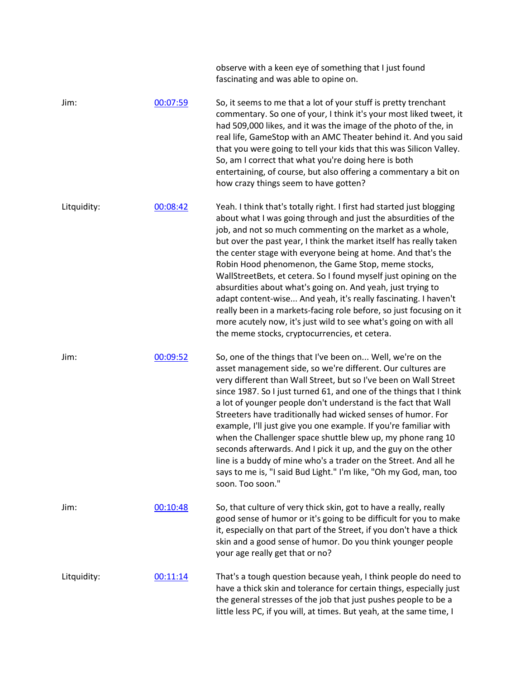observe with a keen eye of something that I just found fascinating and was able to opine on.

Jim: [00:07:59](https://www.rev.com/transcript-editor/Edit?token=6ZT2OLusJ4uHt1U7guwm4Pps2GxZ9oMMbzU_lqxEnhr5sD0g3arUd0djL6ITeTFZHLg2rq2e13KaqF6KUA_xTp9pcnU&loadFrom=DocumentDeeplink&ts=479.36) So, it seems to me that a lot of your stuff is pretty trenchant commentary. So one of your, I think it's your most liked tweet, it had 509,000 likes, and it was the image of the photo of the, in real life, GameStop with an AMC Theater behind it. And you said that you were going to tell your kids that this was Silicon Valley. So, am I correct that what you're doing here is both entertaining, of course, but also offering a commentary a bit on how crazy things seem to have gotten?

Litquidity: [00:08:42](https://www.rev.com/transcript-editor/Edit?token=bI2mitP7DhCWauL2boT5Btpfe_3it1rRXTkGj-lk7AsKnItVn9hMMXZR87VK5rHybKyTHzRURx1ujFJ44ocYC_nYOhw&loadFrom=DocumentDeeplink&ts=522.37) Yeah. I think that's totally right. I first had started just blogging about what I was going through and just the absurdities of the job, and not so much commenting on the market as a whole, but over the past year, I think the market itself has really taken the center stage with everyone being at home. And that's the Robin Hood phenomenon, the Game Stop, meme stocks, WallStreetBets, et cetera. So I found myself just opining on the absurdities about what's going on. And yeah, just trying to adapt content-wise... And yeah, it's really fascinating. I haven't really been in a markets-facing role before, so just focusing on it more acutely now, it's just wild to see what's going on with all the meme stocks, cryptocurrencies, et cetera.

Jim: [00:09:52](https://www.rev.com/transcript-editor/Edit?token=kFPu13YUQmjrnkQk-_tSGmrS2ZH3AcwJcxsZv1fnw748VZV-tso2FNLO6RzeR6Sk6-7BgKdM8tMwGfQQMD_3CfwYPGE&loadFrom=DocumentDeeplink&ts=592.03) So, one of the things that I've been on... Well, we're on the asset management side, so we're different. Our cultures are very different than Wall Street, but so I've been on Wall Street since 1987. So I just turned 61, and one of the things that I think a lot of younger people don't understand is the fact that Wall Streeters have traditionally had wicked senses of humor. For example, I'll just give you one example. If you're familiar with when the Challenger space shuttle blew up, my phone rang 10 seconds afterwards. And I pick it up, and the guy on the other line is a buddy of mine who's a trader on the Street. And all he says to me is, "I said Bud Light." I'm like, "Oh my God, man, too soon. Too soon."

Jim: [00:10:48](https://www.rev.com/transcript-editor/Edit?token=HTTz4c201O2o6OvAsu3-Vx2_hKWDmuintFpvADeEwU72ZHak8ed-7Wpu5TCaQ4OXwmodpA7awsATIMMPtybrHJcUnh0&loadFrom=DocumentDeeplink&ts=648.19) So, that culture of very thick skin, got to have a really, really good sense of humor or it's going to be difficult for you to make it, especially on that part of the Street, if you don't have a thick skin and a good sense of humor. Do you think younger people your age really get that or no?

Litquidity: [00:11:14](https://www.rev.com/transcript-editor/Edit?token=SLyfMZpOOWCKCosmjMXzPEz11AzWF3dGBsTv-lg1dCdG6pikPKSC2eCN7kb1emo5fosckav7cpL98N6f-FBvlAMa424&loadFrom=DocumentDeeplink&ts=674.64) That's a tough question because yeah, I think people do need to have a thick skin and tolerance for certain things, especially just the general stresses of the job that just pushes people to be a little less PC, if you will, at times. But yeah, at the same time, I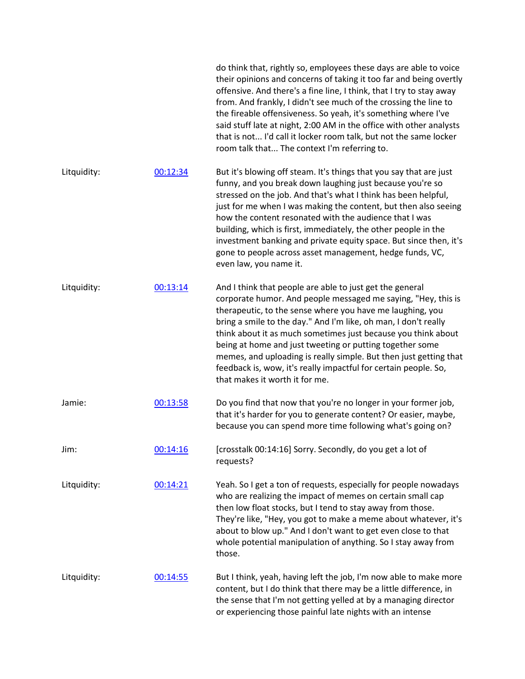|             |          | do think that, rightly so, employees these days are able to voice<br>their opinions and concerns of taking it too far and being overtly<br>offensive. And there's a fine line, I think, that I try to stay away<br>from. And frankly, I didn't see much of the crossing the line to<br>the fireable offensiveness. So yeah, it's something where I've<br>said stuff late at night, 2:00 AM in the office with other analysts<br>that is not I'd call it locker room talk, but not the same locker<br>room talk that The context I'm referring to.                |
|-------------|----------|------------------------------------------------------------------------------------------------------------------------------------------------------------------------------------------------------------------------------------------------------------------------------------------------------------------------------------------------------------------------------------------------------------------------------------------------------------------------------------------------------------------------------------------------------------------|
| Litquidity: | 00:12:34 | But it's blowing off steam. It's things that you say that are just<br>funny, and you break down laughing just because you're so<br>stressed on the job. And that's what I think has been helpful,<br>just for me when I was making the content, but then also seeing<br>how the content resonated with the audience that I was<br>building, which is first, immediately, the other people in the<br>investment banking and private equity space. But since then, it's<br>gone to people across asset management, hedge funds, VC,<br>even law, you name it.      |
| Litquidity: | 00:13:14 | And I think that people are able to just get the general<br>corporate humor. And people messaged me saying, "Hey, this is<br>therapeutic, to the sense where you have me laughing, you<br>bring a smile to the day." And I'm like, oh man, I don't really<br>think about it as much sometimes just because you think about<br>being at home and just tweeting or putting together some<br>memes, and uploading is really simple. But then just getting that<br>feedback is, wow, it's really impactful for certain people. So,<br>that makes it worth it for me. |
| Jamie:      | 00:13:58 | Do you find that now that you're no longer in your former job,<br>that it's harder for you to generate content? Or easier, maybe,<br>because you can spend more time following what's going on?                                                                                                                                                                                                                                                                                                                                                                  |
| Jim:        | 00:14:16 | [crosstalk 00:14:16] Sorry. Secondly, do you get a lot of<br>requests?                                                                                                                                                                                                                                                                                                                                                                                                                                                                                           |
| Litquidity: | 00:14:21 | Yeah. So I get a ton of requests, especially for people nowadays<br>who are realizing the impact of memes on certain small cap<br>then low float stocks, but I tend to stay away from those.<br>They're like, "Hey, you got to make a meme about whatever, it's<br>about to blow up." And I don't want to get even close to that<br>whole potential manipulation of anything. So I stay away from<br>those.                                                                                                                                                      |
| Litquidity: | 00:14:55 | But I think, yeah, having left the job, I'm now able to make more<br>content, but I do think that there may be a little difference, in<br>the sense that I'm not getting yelled at by a managing director<br>or experiencing those painful late nights with an intense                                                                                                                                                                                                                                                                                           |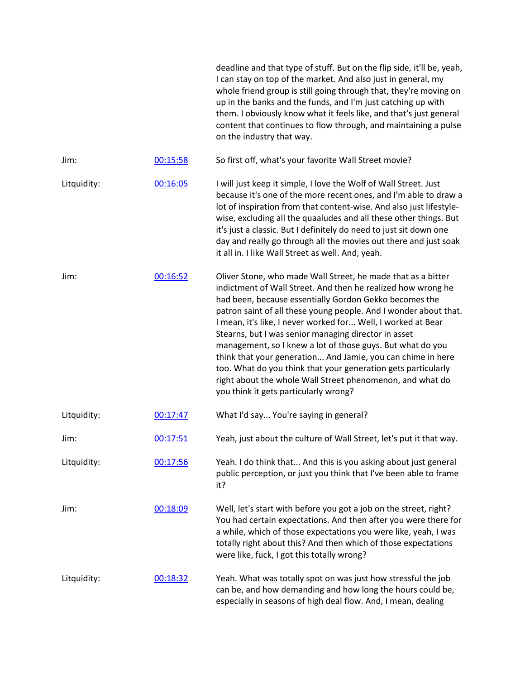|             |          | deadline and that type of stuff. But on the flip side, it'll be, yeah,<br>I can stay on top of the market. And also just in general, my<br>whole friend group is still going through that, they're moving on<br>up in the banks and the funds, and I'm just catching up with<br>them. I obviously know what it feels like, and that's just general<br>content that continues to flow through, and maintaining a pulse<br>on the industry that way.                                                                                                                                                                                                                                     |
|-------------|----------|----------------------------------------------------------------------------------------------------------------------------------------------------------------------------------------------------------------------------------------------------------------------------------------------------------------------------------------------------------------------------------------------------------------------------------------------------------------------------------------------------------------------------------------------------------------------------------------------------------------------------------------------------------------------------------------|
| Jim:        | 00:15:58 | So first off, what's your favorite Wall Street movie?                                                                                                                                                                                                                                                                                                                                                                                                                                                                                                                                                                                                                                  |
| Litquidity: | 00:16:05 | I will just keep it simple, I love the Wolf of Wall Street. Just<br>because it's one of the more recent ones, and I'm able to draw a<br>lot of inspiration from that content-wise. And also just lifestyle-<br>wise, excluding all the quaaludes and all these other things. But<br>it's just a classic. But I definitely do need to just sit down one<br>day and really go through all the movies out there and just soak<br>it all in. I like Wall Street as well. And, yeah.                                                                                                                                                                                                        |
| Jim:        | 00:16:52 | Oliver Stone, who made Wall Street, he made that as a bitter<br>indictment of Wall Street. And then he realized how wrong he<br>had been, because essentially Gordon Gekko becomes the<br>patron saint of all these young people. And I wonder about that.<br>I mean, it's like, I never worked for Well, I worked at Bear<br>Stearns, but I was senior managing director in asset<br>management, so I knew a lot of those guys. But what do you<br>think that your generation And Jamie, you can chime in here<br>too. What do you think that your generation gets particularly<br>right about the whole Wall Street phenomenon, and what do<br>you think it gets particularly wrong? |
| Litquidity: | 00:17:47 | What I'd say You're saying in general?                                                                                                                                                                                                                                                                                                                                                                                                                                                                                                                                                                                                                                                 |
| Jim:        | 00:17:51 | Yeah, just about the culture of Wall Street, let's put it that way.                                                                                                                                                                                                                                                                                                                                                                                                                                                                                                                                                                                                                    |
| Litquidity: | 00:17:56 | Yeah. I do think that And this is you asking about just general<br>public perception, or just you think that I've been able to frame<br>it?                                                                                                                                                                                                                                                                                                                                                                                                                                                                                                                                            |
| Jim:        | 00:18:09 | Well, let's start with before you got a job on the street, right?<br>You had certain expectations. And then after you were there for<br>a while, which of those expectations you were like, yeah, I was<br>totally right about this? And then which of those expectations<br>were like, fuck, I got this totally wrong?                                                                                                                                                                                                                                                                                                                                                                |
| Litquidity: | 00:18:32 | Yeah. What was totally spot on was just how stressful the job<br>can be, and how demanding and how long the hours could be,<br>especially in seasons of high deal flow. And, I mean, dealing                                                                                                                                                                                                                                                                                                                                                                                                                                                                                           |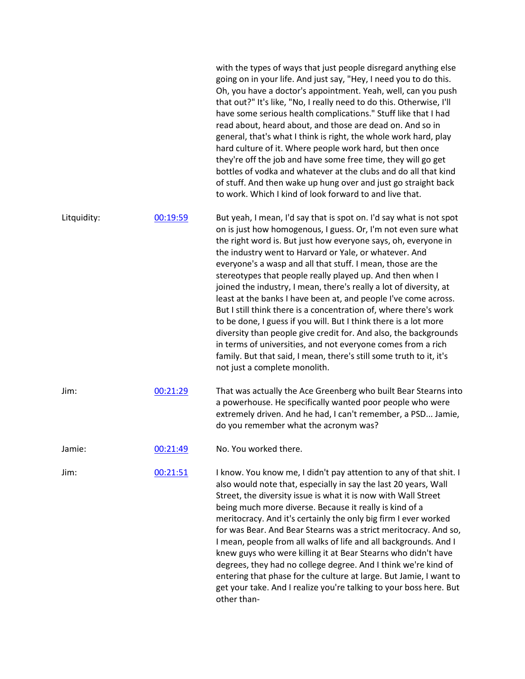|             |          | with the types of ways that just people disregard anything else<br>going on in your life. And just say, "Hey, I need you to do this.<br>Oh, you have a doctor's appointment. Yeah, well, can you push<br>that out?" It's like, "No, I really need to do this. Otherwise, I'll<br>have some serious health complications." Stuff like that I had<br>read about, heard about, and those are dead on. And so in<br>general, that's what I think is right, the whole work hard, play<br>hard culture of it. Where people work hard, but then once<br>they're off the job and have some free time, they will go get<br>bottles of vodka and whatever at the clubs and do all that kind<br>of stuff. And then wake up hung over and just go straight back<br>to work. Which I kind of look forward to and live that.                                                                                                              |
|-------------|----------|-----------------------------------------------------------------------------------------------------------------------------------------------------------------------------------------------------------------------------------------------------------------------------------------------------------------------------------------------------------------------------------------------------------------------------------------------------------------------------------------------------------------------------------------------------------------------------------------------------------------------------------------------------------------------------------------------------------------------------------------------------------------------------------------------------------------------------------------------------------------------------------------------------------------------------|
| Litquidity: | 00:19:59 | But yeah, I mean, I'd say that is spot on. I'd say what is not spot<br>on is just how homogenous, I guess. Or, I'm not even sure what<br>the right word is. But just how everyone says, oh, everyone in<br>the industry went to Harvard or Yale, or whatever. And<br>everyone's a wasp and all that stuff. I mean, those are the<br>stereotypes that people really played up. And then when I<br>joined the industry, I mean, there's really a lot of diversity, at<br>least at the banks I have been at, and people I've come across.<br>But I still think there is a concentration of, where there's work<br>to be done, I guess if you will. But I think there is a lot more<br>diversity than people give credit for. And also, the backgrounds<br>in terms of universities, and not everyone comes from a rich<br>family. But that said, I mean, there's still some truth to it, it's<br>not just a complete monolith. |
| Jim:        | 00:21:29 | That was actually the Ace Greenberg who built Bear Stearns into<br>a powerhouse. He specifically wanted poor people who were<br>extremely driven. And he had, I can't remember, a PSD Jamie,<br>do you remember what the acronym was?                                                                                                                                                                                                                                                                                                                                                                                                                                                                                                                                                                                                                                                                                       |
| Jamie:      | 00:21:49 | No. You worked there.                                                                                                                                                                                                                                                                                                                                                                                                                                                                                                                                                                                                                                                                                                                                                                                                                                                                                                       |
| Jim:        | 00:21:51 | I know. You know me, I didn't pay attention to any of that shit. I<br>also would note that, especially in say the last 20 years, Wall<br>Street, the diversity issue is what it is now with Wall Street<br>being much more diverse. Because it really is kind of a<br>meritocracy. And it's certainly the only big firm I ever worked<br>for was Bear. And Bear Stearns was a strict meritocracy. And so,<br>I mean, people from all walks of life and all backgrounds. And I<br>knew guys who were killing it at Bear Stearns who didn't have<br>degrees, they had no college degree. And I think we're kind of<br>entering that phase for the culture at large. But Jamie, I want to<br>get your take. And I realize you're talking to your boss here. But<br>other than-                                                                                                                                                 |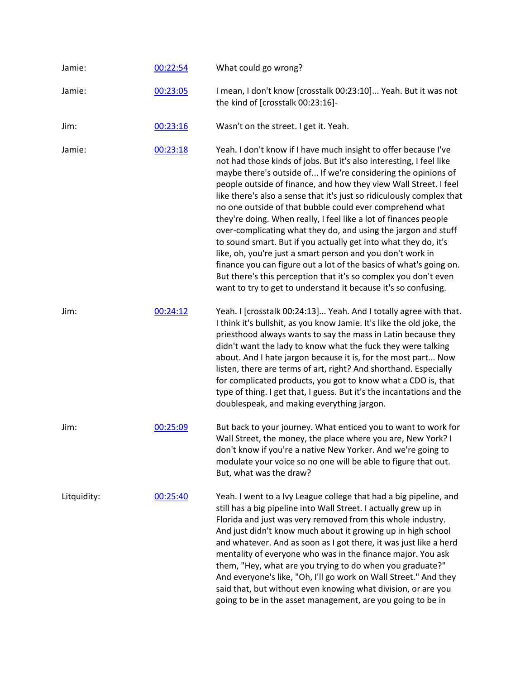| Jamie:      | 00:22:54 | What could go wrong?                                                                                                                                                                                                                                                                                                                                                                                                                                                                                                                                                                                                                                                                                                                                                                                                                                                                               |
|-------------|----------|----------------------------------------------------------------------------------------------------------------------------------------------------------------------------------------------------------------------------------------------------------------------------------------------------------------------------------------------------------------------------------------------------------------------------------------------------------------------------------------------------------------------------------------------------------------------------------------------------------------------------------------------------------------------------------------------------------------------------------------------------------------------------------------------------------------------------------------------------------------------------------------------------|
| Jamie:      | 00:23:05 | I mean, I don't know [crosstalk 00:23:10] Yeah. But it was not<br>the kind of [crosstalk 00:23:16]-                                                                                                                                                                                                                                                                                                                                                                                                                                                                                                                                                                                                                                                                                                                                                                                                |
| Jim:        | 00:23:16 | Wasn't on the street. I get it. Yeah.                                                                                                                                                                                                                                                                                                                                                                                                                                                                                                                                                                                                                                                                                                                                                                                                                                                              |
| Jamie:      | 00:23:18 | Yeah. I don't know if I have much insight to offer because I've<br>not had those kinds of jobs. But it's also interesting, I feel like<br>maybe there's outside of If we're considering the opinions of<br>people outside of finance, and how they view Wall Street. I feel<br>like there's also a sense that it's just so ridiculously complex that<br>no one outside of that bubble could ever comprehend what<br>they're doing. When really, I feel like a lot of finances people<br>over-complicating what they do, and using the jargon and stuff<br>to sound smart. But if you actually get into what they do, it's<br>like, oh, you're just a smart person and you don't work in<br>finance you can figure out a lot of the basics of what's going on.<br>But there's this perception that it's so complex you don't even<br>want to try to get to understand it because it's so confusing. |
| Jim:        | 00:24:12 | Yeah. I [crosstalk 00:24:13] Yeah. And I totally agree with that.<br>I think it's bullshit, as you know Jamie. It's like the old joke, the<br>priesthood always wants to say the mass in Latin because they<br>didn't want the lady to know what the fuck they were talking<br>about. And I hate jargon because it is, for the most part Now<br>listen, there are terms of art, right? And shorthand. Especially<br>for complicated products, you got to know what a CDO is, that<br>type of thing. I get that, I guess. But it's the incantations and the<br>doublespeak, and making everything jargon.                                                                                                                                                                                                                                                                                           |
| Jim:        | 00:25:09 | But back to your journey. What enticed you to want to work for<br>Wall Street, the money, the place where you are, New York? I<br>don't know if you're a native New Yorker. And we're going to<br>modulate your voice so no one will be able to figure that out.<br>But, what was the draw?                                                                                                                                                                                                                                                                                                                                                                                                                                                                                                                                                                                                        |
| Litquidity: | 00:25:40 | Yeah. I went to a Ivy League college that had a big pipeline, and<br>still has a big pipeline into Wall Street. I actually grew up in<br>Florida and just was very removed from this whole industry.<br>And just didn't know much about it growing up in high school<br>and whatever. And as soon as I got there, it was just like a herd<br>mentality of everyone who was in the finance major. You ask<br>them, "Hey, what are you trying to do when you graduate?"<br>And everyone's like, "Oh, I'll go work on Wall Street." And they<br>said that, but without even knowing what division, or are you<br>going to be in the asset management, are you going to be in                                                                                                                                                                                                                          |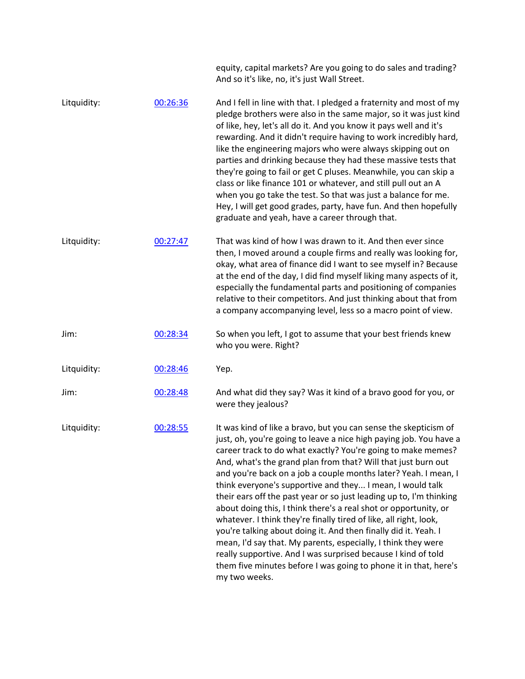equity, capital markets? Are you going to do sales and trading? And so it's like, no, it's just Wall Street.

Litquidity: [00:26:36](https://www.rev.com/transcript-editor/Edit?token=ERoiJacPuzEib7RUA7peDjXjigEg64z9jLfqew0_UARFNogSKoW_GQzHgjJrIkVR7q1pMW95cgZMKekWH7Ce3aJgSA0&loadFrom=DocumentDeeplink&ts=1596.3) And I fell in line with that. I pledged a fraternity and most of my pledge brothers were also in the same major, so it was just kind of like, hey, let's all do it. And you know it pays well and it's rewarding. And it didn't require having to work incredibly hard, like the engineering majors who were always skipping out on parties and drinking because they had these massive tests that they're going to fail or get C pluses. Meanwhile, you can skip a class or like finance 101 or whatever, and still pull out an A when you go take the test. So that was just a balance for me. Hey, I will get good grades, party, have fun. And then hopefully graduate and yeah, have a career through that.

Litquidity: [00:27:47](https://www.rev.com/transcript-editor/Edit?token=OGsHbAxvGp451MqoNjQsjuTp7ujdh60T9kluBqTdaL_3IgYYMPoiRDtrx_IkBu5uv80GepXlAj671pN8d37XAcQ76TY&loadFrom=DocumentDeeplink&ts=1667.35) That was kind of how I was drawn to it. And then ever since then, I moved around a couple firms and really was looking for, okay, what area of finance did I want to see myself in? Because at the end of the day, I did find myself liking many aspects of it, especially the fundamental parts and positioning of companies relative to their competitors. And just thinking about that from a company accompanying level, less so a macro point of view.

- Jim: [00:28:34](https://www.rev.com/transcript-editor/Edit?token=lIa4455sqGVrVpaQLB5JHNxWmLU0SItTNhtKGaC9I8-LwbZ7Ejs6o1kAgYsfpYhzXzQ4lUVIphphtPy63dOh7SvNYKk&loadFrom=DocumentDeeplink&ts=1714.7) So when you left, I got to assume that your best friends knew who you were. Right?
- Litquidity: [00:28:46](https://www.rev.com/transcript-editor/Edit?token=8s0JDdgzInE1Hk4cg1zHJRihO47HUGySb0x5rudSvfjo9OJQRIvpNcZ-JKrNmW0V6ccmF50fiq_-qOswrubhonf18KI&loadFrom=DocumentDeeplink&ts=1726.52) Yep.

Jim: [00:28:48](https://www.rev.com/transcript-editor/Edit?token=KuLNF9WNrT5MaQ-cpcJnxakuwPGWeQIerN0Hw18UCotND_lLjh3nfWK8hA_ueTicxc4-TI83l7lRoa2aRpyIq3hT3NM&loadFrom=DocumentDeeplink&ts=1728.33) And what did they say? Was it kind of a bravo good for you, or were they jealous?

Litquidity: [00:28:55](https://www.rev.com/transcript-editor/Edit?token=hZWLfTvMuBSOJq2hRp3h_bmtL_P6dG2bgimCglBvATsZyqgb9FJVDUfYKgzXzgPUr7cyXxDmfY7iYUM_SO_QR4eYke0&loadFrom=DocumentDeeplink&ts=1735.42) It was kind of like a bravo, but you can sense the skepticism of just, oh, you're going to leave a nice high paying job. You have a career track to do what exactly? You're going to make memes? And, what's the grand plan from that? Will that just burn out and you're back on a job a couple months later? Yeah. I mean, I think everyone's supportive and they... I mean, I would talk their ears off the past year or so just leading up to, I'm thinking about doing this, I think there's a real shot or opportunity, or whatever. I think they're finally tired of like, all right, look, you're talking about doing it. And then finally did it. Yeah. I mean, I'd say that. My parents, especially, I think they were really supportive. And I was surprised because I kind of told them five minutes before I was going to phone it in that, here's my two weeks.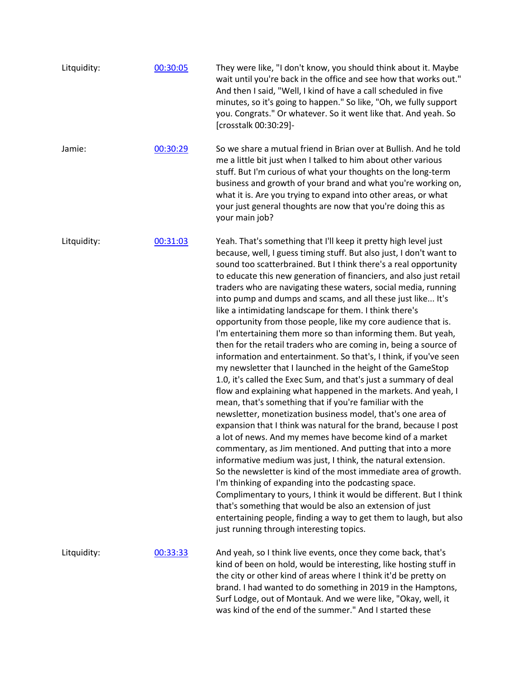| Litquidity: | 00:30:05 | They were like, "I don't know, you should think about it. Maybe<br>wait until you're back in the office and see how that works out."<br>And then I said, "Well, I kind of have a call scheduled in five<br>minutes, so it's going to happen." So like, "Oh, we fully support<br>you. Congrats." Or whatever. So it went like that. And yeah. So<br>[crosstalk 00:30:29]-                                                                                                                                                                                                                                                                                                                                                                                                                                                                                                                                                                                                                                                                                                                                                                                                                                                                                                                                                                                                                                                                                                                                                                                                                                                                                                                                                         |
|-------------|----------|----------------------------------------------------------------------------------------------------------------------------------------------------------------------------------------------------------------------------------------------------------------------------------------------------------------------------------------------------------------------------------------------------------------------------------------------------------------------------------------------------------------------------------------------------------------------------------------------------------------------------------------------------------------------------------------------------------------------------------------------------------------------------------------------------------------------------------------------------------------------------------------------------------------------------------------------------------------------------------------------------------------------------------------------------------------------------------------------------------------------------------------------------------------------------------------------------------------------------------------------------------------------------------------------------------------------------------------------------------------------------------------------------------------------------------------------------------------------------------------------------------------------------------------------------------------------------------------------------------------------------------------------------------------------------------------------------------------------------------|
| Jamie:      | 00:30:29 | So we share a mutual friend in Brian over at Bullish. And he told<br>me a little bit just when I talked to him about other various<br>stuff. But I'm curious of what your thoughts on the long-term<br>business and growth of your brand and what you're working on,<br>what it is. Are you trying to expand into other areas, or what<br>your just general thoughts are now that you're doing this as<br>your main job?                                                                                                                                                                                                                                                                                                                                                                                                                                                                                                                                                                                                                                                                                                                                                                                                                                                                                                                                                                                                                                                                                                                                                                                                                                                                                                         |
| Litquidity: | 00:31:03 | Yeah. That's something that I'll keep it pretty high level just<br>because, well, I guess timing stuff. But also just, I don't want to<br>sound too scatterbrained. But I think there's a real opportunity<br>to educate this new generation of financiers, and also just retail<br>traders who are navigating these waters, social media, running<br>into pump and dumps and scams, and all these just like It's<br>like a intimidating landscape for them. I think there's<br>opportunity from those people, like my core audience that is.<br>I'm entertaining them more so than informing them. But yeah,<br>then for the retail traders who are coming in, being a source of<br>information and entertainment. So that's, I think, if you've seen<br>my newsletter that I launched in the height of the GameStop<br>1.0, it's called the Exec Sum, and that's just a summary of deal<br>flow and explaining what happened in the markets. And yeah, I<br>mean, that's something that if you're familiar with the<br>newsletter, monetization business model, that's one area of<br>expansion that I think was natural for the brand, because I post<br>a lot of news. And my memes have become kind of a market<br>commentary, as Jim mentioned. And putting that into a more<br>informative medium was just, I think, the natural extension.<br>So the newsletter is kind of the most immediate area of growth.<br>I'm thinking of expanding into the podcasting space.<br>Complimentary to yours, I think it would be different. But I think<br>that's something that would be also an extension of just<br>entertaining people, finding a way to get them to laugh, but also<br>just running through interesting topics. |
| Litquidity: | 00:33:33 | And yeah, so I think live events, once they come back, that's<br>kind of been on hold, would be interesting, like hosting stuff in<br>the city or other kind of areas where I think it'd be pretty on<br>brand. I had wanted to do something in 2019 in the Hamptons,<br>Surf Lodge, out of Montauk. And we were like, "Okay, well, it<br>was kind of the end of the summer." And I started these                                                                                                                                                                                                                                                                                                                                                                                                                                                                                                                                                                                                                                                                                                                                                                                                                                                                                                                                                                                                                                                                                                                                                                                                                                                                                                                                |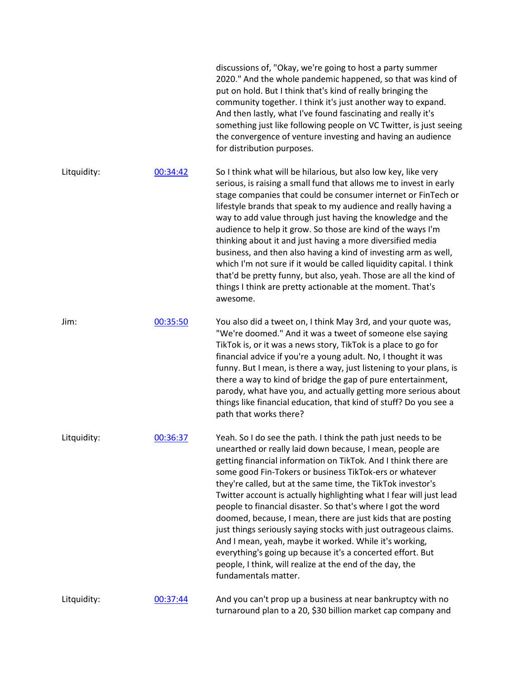|             |          | discussions of, "Okay, we're going to host a party summer<br>2020." And the whole pandemic happened, so that was kind of<br>put on hold. But I think that's kind of really bringing the<br>community together. I think it's just another way to expand.<br>And then lastly, what I've found fascinating and really it's<br>something just like following people on VC Twitter, is just seeing<br>the convergence of venture investing and having an audience<br>for distribution purposes.                                                                                                                                                                                                                                                                                                                     |
|-------------|----------|----------------------------------------------------------------------------------------------------------------------------------------------------------------------------------------------------------------------------------------------------------------------------------------------------------------------------------------------------------------------------------------------------------------------------------------------------------------------------------------------------------------------------------------------------------------------------------------------------------------------------------------------------------------------------------------------------------------------------------------------------------------------------------------------------------------|
| Litquidity: | 00:34:42 | So I think what will be hilarious, but also low key, like very<br>serious, is raising a small fund that allows me to invest in early<br>stage companies that could be consumer internet or FinTech or<br>lifestyle brands that speak to my audience and really having a<br>way to add value through just having the knowledge and the<br>audience to help it grow. So those are kind of the ways I'm<br>thinking about it and just having a more diversified media<br>business, and then also having a kind of investing arm as well,<br>which I'm not sure if it would be called liquidity capital. I think<br>that'd be pretty funny, but also, yeah. Those are all the kind of<br>things I think are pretty actionable at the moment. That's<br>awesome.                                                    |
| Jim:        | 00:35:50 | You also did a tweet on, I think May 3rd, and your quote was,<br>"We're doomed." And it was a tweet of someone else saying<br>TikTok is, or it was a news story, TikTok is a place to go for<br>financial advice if you're a young adult. No, I thought it was<br>funny. But I mean, is there a way, just listening to your plans, is<br>there a way to kind of bridge the gap of pure entertainment,<br>parody, what have you, and actually getting more serious about<br>things like financial education, that kind of stuff? Do you see a<br>path that works there?                                                                                                                                                                                                                                         |
| Litquidity: | 00:36:37 | Yeah. So I do see the path. I think the path just needs to be<br>unearthed or really laid down because, I mean, people are<br>getting financial information on TikTok. And I think there are<br>some good Fin-Tokers or business TikTok-ers or whatever<br>they're called, but at the same time, the TikTok investor's<br>Twitter account is actually highlighting what I fear will just lead<br>people to financial disaster. So that's where I got the word<br>doomed, because, I mean, there are just kids that are posting<br>just things seriously saying stocks with just outrageous claims.<br>And I mean, yeah, maybe it worked. While it's working,<br>everything's going up because it's a concerted effort. But<br>people, I think, will realize at the end of the day, the<br>fundamentals matter. |
| Litquidity: | 00:37:44 | And you can't prop up a business at near bankruptcy with no<br>turnaround plan to a 20, \$30 billion market cap company and                                                                                                                                                                                                                                                                                                                                                                                                                                                                                                                                                                                                                                                                                    |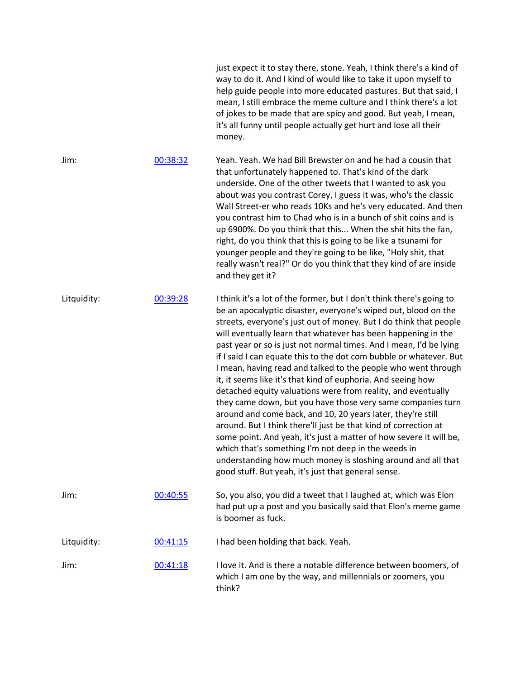|             |          | just expect it to stay there, stone. Yeah, I think there's a kind of<br>way to do it. And I kind of would like to take it upon myself to<br>help guide people into more educated pastures. But that said, I<br>mean, I still embrace the meme culture and I think there's a lot<br>of jokes to be made that are spicy and good. But yeah, I mean,<br>it's all funny until people actually get hurt and lose all their<br>money.                                                                                                                                                                                                                                                                                                                                                                                                                                                                                                                                                                                                                                                |
|-------------|----------|--------------------------------------------------------------------------------------------------------------------------------------------------------------------------------------------------------------------------------------------------------------------------------------------------------------------------------------------------------------------------------------------------------------------------------------------------------------------------------------------------------------------------------------------------------------------------------------------------------------------------------------------------------------------------------------------------------------------------------------------------------------------------------------------------------------------------------------------------------------------------------------------------------------------------------------------------------------------------------------------------------------------------------------------------------------------------------|
| Jim:        | 00:38:32 | Yeah. Yeah. We had Bill Brewster on and he had a cousin that<br>that unfortunately happened to. That's kind of the dark<br>underside. One of the other tweets that I wanted to ask you<br>about was you contrast Corey, I guess it was, who's the classic<br>Wall Street-er who reads 10Ks and he's very educated. And then<br>you contrast him to Chad who is in a bunch of shit coins and is<br>up 6900%. Do you think that this When the shit hits the fan,<br>right, do you think that this is going to be like a tsunami for<br>younger people and they're going to be like, "Holy shit, that<br>really wasn't real?" Or do you think that they kind of are inside<br>and they get it?                                                                                                                                                                                                                                                                                                                                                                                    |
| Litquidity: | 00:39:28 | I think it's a lot of the former, but I don't think there's going to<br>be an apocalyptic disaster, everyone's wiped out, blood on the<br>streets, everyone's just out of money. But I do think that people<br>will eventually learn that whatever has been happening in the<br>past year or so is just not normal times. And I mean, I'd be lying<br>if I said I can equate this to the dot com bubble or whatever. But<br>I mean, having read and talked to the people who went through<br>it, it seems like it's that kind of euphoria. And seeing how<br>detached equity valuations were from reality, and eventually<br>they came down, but you have those very same companies turn<br>around and come back, and 10, 20 years later, they're still<br>around. But I think there'll just be that kind of correction at<br>some point. And yeah, it's just a matter of how severe it will be,<br>which that's something I'm not deep in the weeds in<br>understanding how much money is sloshing around and all that<br>good stuff. But yeah, it's just that general sense. |
| Jim:        | 00:40:55 | So, you also, you did a tweet that I laughed at, which was Elon<br>had put up a post and you basically said that Elon's meme game<br>is boomer as fuck.                                                                                                                                                                                                                                                                                                                                                                                                                                                                                                                                                                                                                                                                                                                                                                                                                                                                                                                        |
| Litquidity: | 00:41:15 | I had been holding that back. Yeah.                                                                                                                                                                                                                                                                                                                                                                                                                                                                                                                                                                                                                                                                                                                                                                                                                                                                                                                                                                                                                                            |
| Jim:        | 00:41:18 | I love it. And is there a notable difference between boomers, of<br>which I am one by the way, and millennials or zoomers, you<br>think?                                                                                                                                                                                                                                                                                                                                                                                                                                                                                                                                                                                                                                                                                                                                                                                                                                                                                                                                       |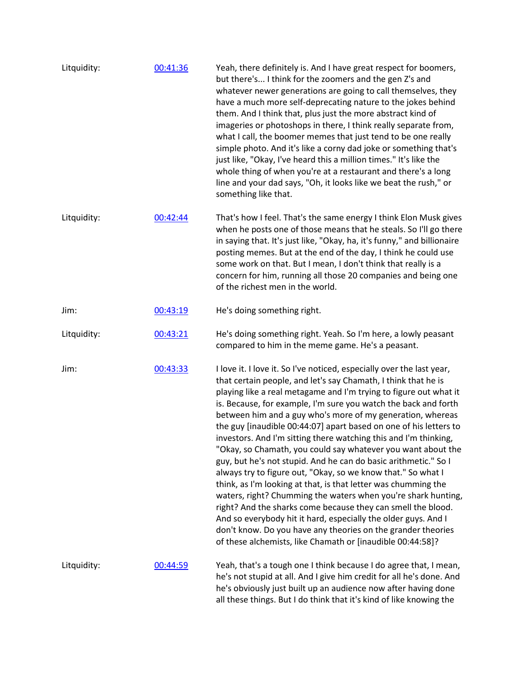| Litquidity: | 00:41:36 | Yeah, there definitely is. And I have great respect for boomers,<br>but there's I think for the zoomers and the gen Z's and<br>whatever newer generations are going to call themselves, they<br>have a much more self-deprecating nature to the jokes behind<br>them. And I think that, plus just the more abstract kind of<br>imageries or photoshops in there, I think really separate from,<br>what I call, the boomer memes that just tend to be one really<br>simple photo. And it's like a corny dad joke or something that's<br>just like, "Okay, I've heard this a million times." It's like the<br>whole thing of when you're at a restaurant and there's a long<br>line and your dad says, "Oh, it looks like we beat the rush," or<br>something like that.                                                                                                                                                                                                                                                                                                                        |
|-------------|----------|----------------------------------------------------------------------------------------------------------------------------------------------------------------------------------------------------------------------------------------------------------------------------------------------------------------------------------------------------------------------------------------------------------------------------------------------------------------------------------------------------------------------------------------------------------------------------------------------------------------------------------------------------------------------------------------------------------------------------------------------------------------------------------------------------------------------------------------------------------------------------------------------------------------------------------------------------------------------------------------------------------------------------------------------------------------------------------------------|
| Litquidity: | 00:42:44 | That's how I feel. That's the same energy I think Elon Musk gives<br>when he posts one of those means that he steals. So I'll go there<br>in saying that. It's just like, "Okay, ha, it's funny," and billionaire<br>posting memes. But at the end of the day, I think he could use<br>some work on that. But I mean, I don't think that really is a<br>concern for him, running all those 20 companies and being one<br>of the richest men in the world.                                                                                                                                                                                                                                                                                                                                                                                                                                                                                                                                                                                                                                    |
| Jim:        | 00:43:19 | He's doing something right.                                                                                                                                                                                                                                                                                                                                                                                                                                                                                                                                                                                                                                                                                                                                                                                                                                                                                                                                                                                                                                                                  |
| Litquidity: | 00:43:21 | He's doing something right. Yeah. So I'm here, a lowly peasant<br>compared to him in the meme game. He's a peasant.                                                                                                                                                                                                                                                                                                                                                                                                                                                                                                                                                                                                                                                                                                                                                                                                                                                                                                                                                                          |
| Jim:        | 00:43:33 | I love it. I love it. So I've noticed, especially over the last year,<br>that certain people, and let's say Chamath, I think that he is<br>playing like a real metagame and I'm trying to figure out what it<br>is. Because, for example, I'm sure you watch the back and forth<br>between him and a guy who's more of my generation, whereas<br>the guy [inaudible 00:44:07] apart based on one of his letters to<br>investors. And I'm sitting there watching this and I'm thinking,<br>"Okay, so Chamath, you could say whatever you want about the<br>guy, but he's not stupid. And he can do basic arithmetic." So I<br>always try to figure out, "Okay, so we know that." So what I<br>think, as I'm looking at that, is that letter was chumming the<br>waters, right? Chumming the waters when you're shark hunting,<br>right? And the sharks come because they can smell the blood.<br>And so everybody hit it hard, especially the older guys. And I<br>don't know. Do you have any theories on the grander theories<br>of these alchemists, like Chamath or [inaudible 00:44:58]? |
| Litquidity: | 00:44:59 | Yeah, that's a tough one I think because I do agree that, I mean,<br>he's not stupid at all. And I give him credit for all he's done. And<br>he's obviously just built up an audience now after having done<br>all these things. But I do think that it's kind of like knowing the                                                                                                                                                                                                                                                                                                                                                                                                                                                                                                                                                                                                                                                                                                                                                                                                           |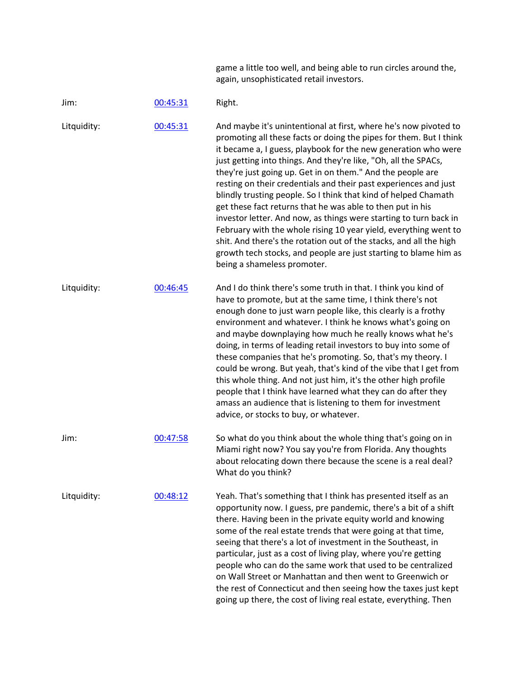game a little too well, and being able to run circles around the, again, unsophisticated retail investors.

| Jim:        | 00:45:31 | Right.                                                                                                                                                                                                                                                                                                                                                                                                                                                                                                                                                                                                                                                                                                                                                                                                                                                           |
|-------------|----------|------------------------------------------------------------------------------------------------------------------------------------------------------------------------------------------------------------------------------------------------------------------------------------------------------------------------------------------------------------------------------------------------------------------------------------------------------------------------------------------------------------------------------------------------------------------------------------------------------------------------------------------------------------------------------------------------------------------------------------------------------------------------------------------------------------------------------------------------------------------|
| Litquidity: | 00:45:31 | And maybe it's unintentional at first, where he's now pivoted to<br>promoting all these facts or doing the pipes for them. But I think<br>it became a, I guess, playbook for the new generation who were<br>just getting into things. And they're like, "Oh, all the SPACs,<br>they're just going up. Get in on them." And the people are<br>resting on their credentials and their past experiences and just<br>blindly trusting people. So I think that kind of helped Chamath<br>get these fact returns that he was able to then put in his<br>investor letter. And now, as things were starting to turn back in<br>February with the whole rising 10 year yield, everything went to<br>shit. And there's the rotation out of the stacks, and all the high<br>growth tech stocks, and people are just starting to blame him as<br>being a shameless promoter. |
| Litquidity: | 00:46:45 | And I do think there's some truth in that. I think you kind of<br>have to promote, but at the same time, I think there's not<br>enough done to just warn people like, this clearly is a frothy<br>environment and whatever. I think he knows what's going on<br>and maybe downplaying how much he really knows what he's<br>doing, in terms of leading retail investors to buy into some of<br>these companies that he's promoting. So, that's my theory. I<br>could be wrong. But yeah, that's kind of the vibe that I get from<br>this whole thing. And not just him, it's the other high profile<br>people that I think have learned what they can do after they<br>amass an audience that is listening to them for investment<br>advice, or stocks to buy, or whatever.                                                                                      |
| Jim:        | 00:47:58 | So what do you think about the whole thing that's going on in<br>Miami right now? You say you're from Florida. Any thoughts<br>about relocating down there because the scene is a real deal?<br>What do you think?                                                                                                                                                                                                                                                                                                                                                                                                                                                                                                                                                                                                                                               |
| Litquidity: | 00:48:12 | Yeah. That's something that I think has presented itself as an<br>opportunity now. I guess, pre pandemic, there's a bit of a shift<br>there. Having been in the private equity world and knowing<br>some of the real estate trends that were going at that time,<br>seeing that there's a lot of investment in the Southeast, in<br>particular, just as a cost of living play, where you're getting<br>people who can do the same work that used to be centralized<br>on Wall Street or Manhattan and then went to Greenwich or<br>the rest of Connecticut and then seeing how the taxes just kept<br>going up there, the cost of living real estate, everything. Then                                                                                                                                                                                           |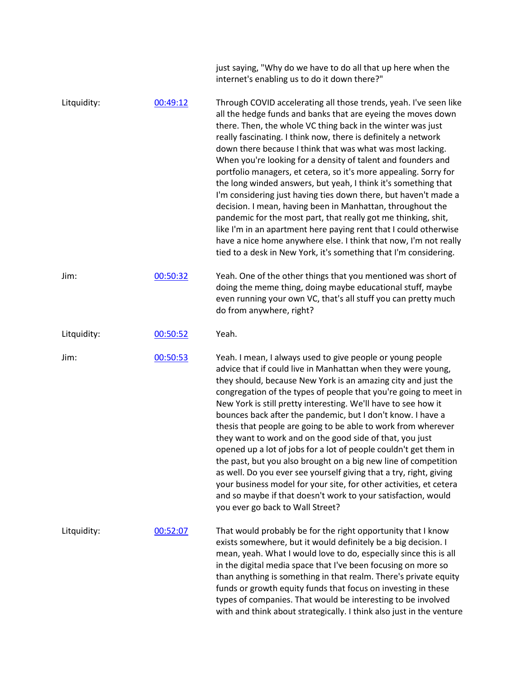|             |          | just saying, "Why do we have to do all that up here when the<br>internet's enabling us to do it down there?"                                                                                                                                                                                                                                                                                                                                                                                                                                                                                                                                                                                                                                                                                                                                                                                                                                          |
|-------------|----------|-------------------------------------------------------------------------------------------------------------------------------------------------------------------------------------------------------------------------------------------------------------------------------------------------------------------------------------------------------------------------------------------------------------------------------------------------------------------------------------------------------------------------------------------------------------------------------------------------------------------------------------------------------------------------------------------------------------------------------------------------------------------------------------------------------------------------------------------------------------------------------------------------------------------------------------------------------|
| Litquidity: | 00:49:12 | Through COVID accelerating all those trends, yeah. I've seen like<br>all the hedge funds and banks that are eyeing the moves down<br>there. Then, the whole VC thing back in the winter was just<br>really fascinating. I think now, there is definitely a network<br>down there because I think that was what was most lacking.<br>When you're looking for a density of talent and founders and<br>portfolio managers, et cetera, so it's more appealing. Sorry for<br>the long winded answers, but yeah, I think it's something that<br>I'm considering just having ties down there, but haven't made a<br>decision. I mean, having been in Manhattan, throughout the<br>pandemic for the most part, that really got me thinking, shit,<br>like I'm in an apartment here paying rent that I could otherwise<br>have a nice home anywhere else. I think that now, I'm not really<br>tied to a desk in New York, it's something that I'm considering. |
| Jim:        | 00:50:32 | Yeah. One of the other things that you mentioned was short of<br>doing the meme thing, doing maybe educational stuff, maybe<br>even running your own VC, that's all stuff you can pretty much<br>do from anywhere, right?                                                                                                                                                                                                                                                                                                                                                                                                                                                                                                                                                                                                                                                                                                                             |
| Litquidity: | 00:50:52 | Yeah.                                                                                                                                                                                                                                                                                                                                                                                                                                                                                                                                                                                                                                                                                                                                                                                                                                                                                                                                                 |
| Jim:        | 00:50:53 | Yeah. I mean, I always used to give people or young people<br>advice that if could live in Manhattan when they were young,<br>they should, because New York is an amazing city and just the<br>congregation of the types of people that you're going to meet in<br>New York is still pretty interesting. We'll have to see how it<br>bounces back after the pandemic, but I don't know. I have a<br>thesis that people are going to be able to work from wherever<br>they want to work and on the good side of that, you just<br>opened up a lot of jobs for a lot of people couldn't get them in<br>the past, but you also brought on a big new line of competition<br>as well. Do you ever see yourself giving that a try, right, giving<br>your business model for your site, for other activities, et cetera<br>and so maybe if that doesn't work to your satisfaction, would<br>you ever go back to Wall Street?                                 |
| Litquidity: | 00:52:07 | That would probably be for the right opportunity that I know<br>exists somewhere, but it would definitely be a big decision. I<br>mean, yeah. What I would love to do, especially since this is all<br>in the digital media space that I've been focusing on more so<br>than anything is something in that realm. There's private equity<br>funds or growth equity funds that focus on investing in these<br>types of companies. That would be interesting to be involved<br>with and think about strategically. I think also just in the venture                                                                                                                                                                                                                                                                                                                                                                                                     |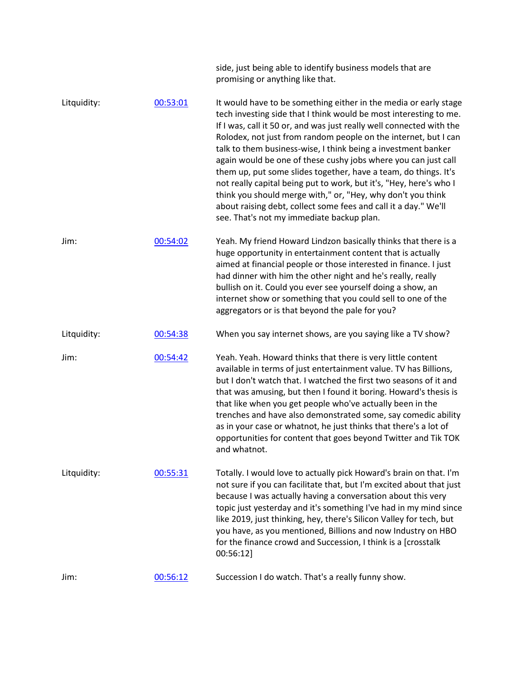side, just being able to identify business models that are promising or anything like that. Litquidity: [00:53:01](https://www.rev.com/transcript-editor/Edit?token=AgfqJa6oogYgLmX2uIG2pwNa7VNay38b758PIXabNevD-BSuesTfijT4dBHgUMtI_Mm46qVKNxm6GmWb9Z2ju84nE-Y&loadFrom=DocumentDeeplink&ts=3181.85) It would have to be something either in the media or early stage tech investing side that I think would be most interesting to me. If I was, call it 50 or, and was just really well connected with the Rolodex, not just from random people on the internet, but I can talk to them business-wise, I think being a investment banker again would be one of these cushy jobs where you can just call them up, put some slides together, have a team, do things. It's not really capital being put to work, but it's, "Hey, here's who I think you should merge with," or, "Hey, why don't you think about raising debt, collect some fees and call it a day." We'll see. That's not my immediate backup plan. Jim: [00:54:02](https://www.rev.com/transcript-editor/Edit?token=3QjFGSN8sfdjPRcptu8VJOsLrzZ6OcQoite730IQVGOv_phnHJxbeH2ClGNWhMowTZKhzO2v6InWII_Mz965MoD6RdQ&loadFrom=DocumentDeeplink&ts=3242.7) Yeah. My friend Howard Lindzon basically thinks that there is a huge opportunity in entertainment content that is actually aimed at financial people or those interested in finance. I just had dinner with him the other night and he's really, really bullish on it. Could you ever see yourself doing a show, an internet show or something that you could sell to one of the aggregators or is that beyond the pale for you? Litquidity: [00:54:38](https://www.rev.com/transcript-editor/Edit?token=ylZHORPqizUX5EtG3Pk-xf-d6bBkzLw2HeI870NwB-giX2wZHoQCY59eIFCMK0mgmZMBin5LbHs6ECO1SQdWjyo0YN4&loadFrom=DocumentDeeplink&ts=3278.07) When you say internet shows, are you saying like a TV show? Jim: [00:54:42](https://www.rev.com/transcript-editor/Edit?token=2rusgQkHEu8EX3N5HajpYUomMrw1KfAXm0mDjy4zfOwiGdbBxnGD4lRMW0ymxDRZG17QpIJqBciKe4c8Gaddv2bpuT4&loadFrom=DocumentDeeplink&ts=3282.68) Yeah. Yeah. Howard thinks that there is very little content available in terms of just entertainment value. TV has Billions, but I don't watch that. I watched the first two seasons of it and that was amusing, but then I found it boring. Howard's thesis is that like when you get people who've actually been in the trenches and have also demonstrated some, say comedic ability as in your case or whatnot, he just thinks that there's a lot of opportunities for content that goes beyond Twitter and Tik TOK and whatnot. Litquidity: [00:55:31](https://www.rev.com/transcript-editor/Edit?token=py_JQctiUzDnnaRX3brXrM4QSaZfC_6AuALcfKUo5n6iHdBqd6oJhb0ZB-qTM787fOP8prq2SDoXy2AAIBKu5wyt8Jw&loadFrom=DocumentDeeplink&ts=3331.66) Totally. I would love to actually pick Howard's brain on that. I'm not sure if you can facilitate that, but I'm excited about that just because I was actually having a conversation about this very topic just yesterday and it's something I've had in my mind since like 2019, just thinking, hey, there's Silicon Valley for tech, but you have, as you mentioned, Billions and now Industry on HBO for the finance crowd and Succession, I think is a [crosstalk 00:56:12] Jim: [00:56:12](https://www.rev.com/transcript-editor/Edit?token=310Y7q8BXhoM9L8Q5S_BpNUNU_tcmsPyX81MxHxEF9dwAJPoU1tjVxMsl8sVGMktb0yXZh1TfFScZ5z3PU2atfzDePU&loadFrom=DocumentDeeplink&ts=3372.34) Succession I do watch. That's a really funny show.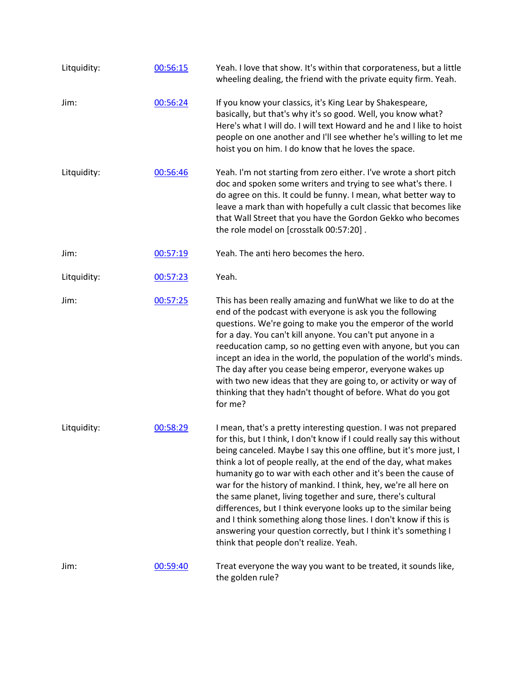| Litquidity: | 00:56:15 | Yeah. I love that show. It's within that corporateness, but a little<br>wheeling dealing, the friend with the private equity firm. Yeah.                                                                                                                                                                                                                                                                                                                                                                                                                                                                                                                                                                                                    |
|-------------|----------|---------------------------------------------------------------------------------------------------------------------------------------------------------------------------------------------------------------------------------------------------------------------------------------------------------------------------------------------------------------------------------------------------------------------------------------------------------------------------------------------------------------------------------------------------------------------------------------------------------------------------------------------------------------------------------------------------------------------------------------------|
| Jim:        | 00:56:24 | If you know your classics, it's King Lear by Shakespeare,<br>basically, but that's why it's so good. Well, you know what?<br>Here's what I will do. I will text Howard and he and I like to hoist<br>people on one another and I'll see whether he's willing to let me<br>hoist you on him. I do know that he loves the space.                                                                                                                                                                                                                                                                                                                                                                                                              |
| Litquidity: | 00:56:46 | Yeah. I'm not starting from zero either. I've wrote a short pitch<br>doc and spoken some writers and trying to see what's there. I<br>do agree on this. It could be funny. I mean, what better way to<br>leave a mark than with hopefully a cult classic that becomes like<br>that Wall Street that you have the Gordon Gekko who becomes<br>the role model on [crosstalk 00:57:20].                                                                                                                                                                                                                                                                                                                                                        |
| Jim:        | 00:57:19 | Yeah. The anti hero becomes the hero.                                                                                                                                                                                                                                                                                                                                                                                                                                                                                                                                                                                                                                                                                                       |
| Litquidity: | 00:57:23 | Yeah.                                                                                                                                                                                                                                                                                                                                                                                                                                                                                                                                                                                                                                                                                                                                       |
| Jim:        | 00:57:25 | This has been really amazing and funWhat we like to do at the<br>end of the podcast with everyone is ask you the following<br>questions. We're going to make you the emperor of the world<br>for a day. You can't kill anyone. You can't put anyone in a<br>reeducation camp, so no getting even with anyone, but you can<br>incept an idea in the world, the population of the world's minds.<br>The day after you cease being emperor, everyone wakes up<br>with two new ideas that they are going to, or activity or way of<br>thinking that they hadn't thought of before. What do you got<br>for me?                                                                                                                                   |
| Litquidity: | 00:58:29 | I mean, that's a pretty interesting question. I was not prepared<br>for this, but I think, I don't know if I could really say this without<br>being canceled. Maybe I say this one offline, but it's more just, I<br>think a lot of people really, at the end of the day, what makes<br>humanity go to war with each other and it's been the cause of<br>war for the history of mankind. I think, hey, we're all here on<br>the same planet, living together and sure, there's cultural<br>differences, but I think everyone looks up to the similar being<br>and I think something along those lines. I don't know if this is<br>answering your question correctly, but I think it's something I<br>think that people don't realize. Yeah. |
| Jim:        | 00:59:40 | Treat everyone the way you want to be treated, it sounds like,<br>the golden rule?                                                                                                                                                                                                                                                                                                                                                                                                                                                                                                                                                                                                                                                          |